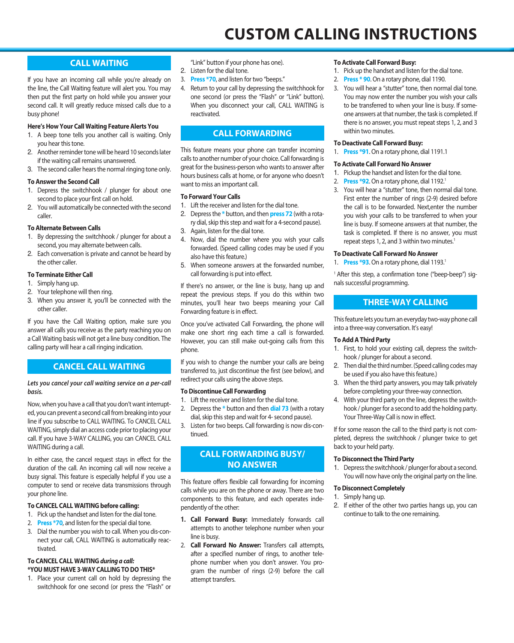# **CALL WAITING**

If you have an incoming call while you're already on the line, the Call Waiting feature will alert you. You may then put the first party on hold while you answer your second call. It will greatly reduce missed calls due to a busy phone!

### **Here's How Your Call Waiting Feature Alerts You**

- 1. A beep tone tells you another call is waiting. Only you hear this tone.
- 2. Another reminder tone will be heard 10 seconds later if the waiting call remains unanswered.
- 3. The second caller hears the normal ringing tone only.

### **To Answer the Second Call**

- 1. Depress the switchhook / plunger for about one second to place your first call on hold.
- 2. You will automatically be connected with the second caller.

### **To Alternate Between Calls**

- 1. By depressing the switchhook / plunger for about a second, you may alternate between calls.
- 2. Each conversation is private and cannot be heard by the other caller.

### **To Terminate Either Call**

- 1. Simply hang up.
- 2. Your telephone will then ring.
- 3. When you answer it, you'll be connected with the other caller.

If you have the Call Waiting option, make sure you answer all calls you receive as the party reaching you on a Call Waiting basis will not get a line busy condition. The calling party will hear a call ringing indication.

# **CANCEL CALL WAITING**

### *Lets you cancel your call waiting service on a per-call basis.*

Now, when you have a call that you don't want interrupted, you can prevent a second call from breaking into your line if you subscribe to CALL WAITING. To CANCEL CALL WAITING, simply dial an access code prior to placing your call. If you have 3-WAY CALLING, you can CANCEL CALL WAITING during a call.

In either case, the cancel request stays in effect for the duration of the call. An incoming call will now receive a busy signal. This feature is especially helpful if you use a computer to send or receive data transmissions through your phone line.

### **To CANCEL CALL WAITING before calling:**

- 1. Pick up the handset and listen for the dial tone.
- 2. **Press \*70**, and listen for the special dial tone.
- 3. Dial the number you wish to call. When you dis-connect your call, CALL WAITING is automatically reactivated.

### **To CANCEL CALL WAITING** *during a call:* **\*YOU MUST HAVE 3-WAY CALLING TO DO THIS\***

1. Place your current call on hold by depressing the switchhook for one second (or press the "Flash" or

"Link" button if your phone has one).

- 2. Listen for the dial tone.
- 3. **Press \*70**, and listen for two "beeps."
- 4. Return to your call by depressing the switchhook for one second (or press the "Flash" or "Link" button). When you disconnect your call, CALL WAITING is reactivated.

# **CALL FORWARDING**

This feature means your phone can transfer incoming calls to another number of your choice. Call forwarding is great for the business-person who wants to answer after hours business calls at home, or for anyone who doesn't want to miss an important call.

### **To Forward Your Calls**

- 1. Lift the receiver and listen for the dial tone.
- 2. Depress the **\*** button, and then **press 72** (with a rotary dial, skip this step and wait for a 4-second pause).
- 3. Again, listen for the dial tone.
- 4. Now, dial the number where you wish your calls forwarded. (Speed calling codes may be used if you also have this feature.)
- 5. When someone answers at the forwarded number, call forwarding is put into effect.

If there's no answer, or the line is busy, hang up and repeat the previous steps. If you do this within two minutes, you'll hear two beeps meaning your Call Forwarding feature is in effect.

Once you've activated Call Forwarding, the phone will make one short ring each time a call is forwarded. However, you can still make out-going calls from this phone.

If you wish to change the number your calls are being transferred to, just discontinue the first (see below), and redirect your calls using the above steps.

### **To Discontinue Call Forwarding**

- 1. Lift the receiver and listen for the dial tone.
- 2. Depress the **\*** button and then **dial 73** (with a rotary dial, skip this step and wait for 4- second pause).
- 3. Listen for two beeps. Call forwarding is now dis-continued.

# **CALL FORWARDING BUSY/ NO ANSWER**

This feature offers flexible call forwarding for incoming calls while you are on the phone or away. There are two components to this feature, and each operates independently of the other:

- **1. Call Forward Busy:** Immediately forwards call attempts to another telephone number when your line is busy.
- 2. **Call Forward No Answer:** Transfers call attempts, after a specified number of rings, to another telephone number when you don't answer. You program the number of rings (2-9) before the call attempt transfers.

### **To Activate Call Forward Busy:**

- 1. Pick up the handset and listen for the dial tone.
- 2. **Press \* 90**. On a rotary phone, dial 1190.
- 3. You will hear a "stutter" tone, then normal dial tone. You may now enter the number you wish your calls to be transferred to when your line is busy. If someone answers at that number, the task is completed. If there is no answer, you must repeat steps 1, 2, and 3 within two minutes.

### **To Deactivate Call Forward Busy:**

1. **Press \*91**. On a rotary phone, dial 1191.1

### **To Activate Call Forward No Answer**

- 1. Pickup the handset and listen for the dial tone.
- 2. **Press \*92**. On a rotary phone, dial 1192.<sup>1</sup>
- 3. You will hear a "stutter" tone, then normal dial tone. First enter the number of rings (2-9) desired before the call is to be forwarded. Next,enter the number you wish your calls to be transferred to when your line is busy. If someone answers at that number, the task is completed. If there is no answer, you must repeat steps 1, 2, and 3 within two minutes.<sup>1</sup>

### **To Deactivate Call Forward No Answer**

1. **Press \*93**. On a rotary phone, dial 1193.<sup>1</sup>

<sup>1</sup> After this step, a confirmation tone ("beep-beep") signals successful programming.

# **THREE-WAY CALLING**

This feature lets you turn an everyday two-way phone call into a three-way conversation. It's easy!

### **To Add A Third Party**

- 1. First, to hold your existing call, depress the switchhook / plunger for about a second.
- 2. Then dial the third number. (Speed calling codes may be used if you also have this feature.)
- 3. When the third party answers, you may talk privately before completing your three-way connection.
- 4. With your third party on the line, depress the switchhook / plunger for a second to add the holding party. Your Three-Way Call is now in effect.

If for some reason the call to the third party is not completed, depress the switchhook / plunger twice to get back to your held party.

### **To Disconnect the Third Party**

1. Depress the switchhook / plunger for about a second. You will now have only the original party on the line.

### **To Disconnect Completely**

- 1. Simply hang up.
- 2. If either of the other two parties hangs up, you can continue to talk to the one remaining.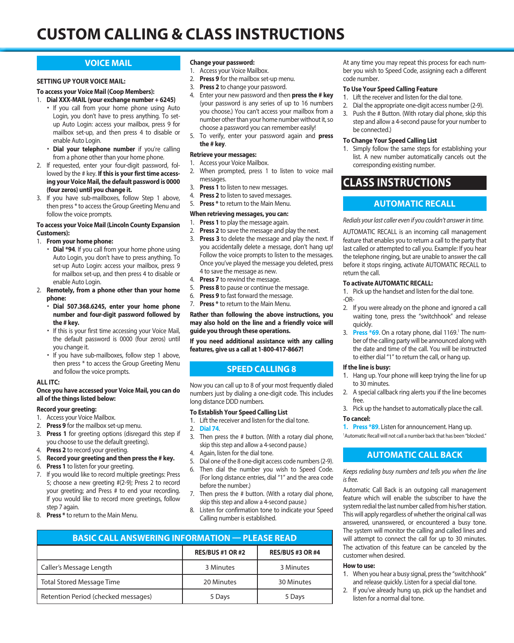# **CUSTOM CALLING & CLASS INSTRUCTIONS**

# **VOICE MAIL**

### **SETTING UP YOUR VOICE MAIL:**

### **To access your Voice Mail (Coop Members):**

- 1. **Dial XXX-MAIL (your exchange number + 6245)**
	- If you call from your home phone using Auto Login, you don't have to press anything. To setup Auto Login: access your mailbox, press 9 for mailbox set-up, and then press 4 to disable or enable Auto Login.
	- **• Dial your telephone number** if you're calling from a phone other than your home phone.
- 2. If requested, enter your four-digit password, followed by the # key. **If this is your first time accessing your Voice Mail, the default password is 0000 (four zeros) until you change it.**
- 3. If you have sub-mailboxes, follow Step 1 above, then press \* to access the Group Greeting Menu and follow the voice prompts.

### **To access your Voice Mail (Lincoln County Expansion Customers):**

- 1. **From your home phone:**
	- **• Dial \*94**. If you call from your home phone using Auto Login, you don't have to press anything. To set-up Auto Login: access your mailbox, press 9 for mailbox set-up, and then press 4 to disable or enable Auto Login.
- 2. **Remotely, from a phone other than your home phone:**
	- **• Dial 507.368.6245, enter your home phone number and four-digit password followed by the # key.**
	- If this is your first time accessing your Voice Mail, the default password is 0000 (four zeros) until you change it.
	- If you have sub-mailboxes, follow step 1 above, then press \* to access the Group Greeting Menu and follow the voice prompts.

### **ALL ITC:**

### **Once you have accessed your Voice Mail, you can do all of the things listed below:**

### **Record your greeting:**

- 1. Access your Voice Mailbox.
- 2. **Press 9** for the mailbox set-up menu.
- 3. **Press 1** for greeting options (disregard this step if you choose to use the default greeting).
- 4. **Press 2** to record your greeting.
- 5. **Record your greeting and then press the # key.**
- 6. **Press 1** to listen for your greeting.
- 7. If you would like to record multiple greetings: Press 5; choose a new greeting #(2-9); Press 2 to record your greeting; and Press # to end your recording. If you would like to record more greetings, follow step 7 again.
- 8. **Press \*** to return to the Main Menu.

### **Change your password:**

- 1. Access your Voice Mailbox.
- 2. **Press 9** for the mailbox set-up menu.
- 3. **Press 2** to change your password.
- 4. Enter your new password and then **press the # key** (your password is any series of up to 16 numbers you choose.) You can't access your mailbox from a number other than your home number without it, so choose a password you can remember easily!
- 5. To verify, enter your password again and **press the # key**.

### **Retrieve your messages:**

- 1. Access your Voice Mailbox.
- 2. When prompted, press 1 to listen to voice mail messages.
- 3. **Press 1** to listen to new messages.
- 4. **Press 2** to listen to saved messages.
- 5. **Press \*** to return to the Main Menu.

### **When retrieving messages, you can:**

- 1. **Press 1** to play the message again.
- 2. **Press 2** to save the message and play the next.
- 3. **Press 3** to delete the message and play the next. If you accidentally delete a message, don't hang up! Follow the voice prompts to listen to the messages. Once you've played the message you deleted, press 4 to save the message as new.
- 4. **Press 7** to rewind the message.
- 5. **Press 8** to pause or continue the message.
- 6. **Press 9** to fast forward the message.
- 7. **Press \*** to return to the Main Menu.

### **Rather than following the above instructions, you may also hold on the line and a friendly voice will guide you through these operations.**

**If you need additional assistance with any calling features, give us a call at 1-800-417-8667!**

# **SPEED CALLING 8**

Now you can call up to 8 of your most frequently dialed numbers just by dialing a one-digit code. This includes long distance DDD numbers.

### **To Establish Your Speed Calling List**

- 1. Lift the receiver and listen for the dial tone.
- 2. **Dial 74**.
- 3. Then press the # button. (With a rotary dial phone, skip this step and allow a 4-second pause.)
- 4. Again, listen for the dial tone.
- 5. Dial one of the 8 one-digit access code numbers (2-9).
- (For long distance entries, dial "1" and the area code before the number.)
- skip this step and allow a 4-second pause.)
- Calling number is established.

| <b>BASIC CALL ANSWERING INFORMATION — PLEASE READ</b> |                         |                         |
|-------------------------------------------------------|-------------------------|-------------------------|
|                                                       | <b>RES/BUS #1 OR #2</b> | <b>RES/BUS #3 OR #4</b> |
| Caller's Message Length                               | 3 Minutes               | 3 Minutes               |
| <b>Total Stored Message Time</b>                      | 20 Minutes              | 30 Minutes              |
| Retention Period (checked messages)                   | 5 Days                  | 5 Days                  |

At any time you may repeat this process for each number you wish to Speed Code, assigning each a different code number.

### **To Use Your Speed Calling Feature**

- 1. Lift the receiver and listen for the dial tone.
- 2. Dial the appropriate one-digit access number (2-9).
- 3. Push the # Button. (With rotary dial phone, skip this step and allow a 4-second pause for your number to be connected.)

### **To Change Your Speed Calling List**

1. Simply follow the same steps for establishing your list. A new number automatically cancels out the corresponding existing number.

# **CLASS INSTRUCTIONS**

# **AUTOMATIC RECALL**

*Redials your last caller even if you couldn't answer in time.*

AUTOMATIC RECALL is an incoming call management feature that enables you to return a call to the party that last called or attempted to call you. Example: If you hear the telephone ringing, but are unable to answer the call before it stops ringing, activate AUTOMATIC RECALL to return the call.

### **To activate AUTOMATIC RECALL:**

1. Pick up the handset and listen for the dial tone. -OR-

- 2. If you were already on the phone and ignored a call waiting tone, press the "switchhook" and release quickly.
- 3. Press \*69. On a rotary phone, dial 1169.<sup>1</sup> The number of the calling party will be announced along with the date and time of the call. You will be instructed to either dial "1" to return the call, or hang up.

### **If the line is busy:**

- 1. Hang up. Your phone will keep trying the line for up to 30 minutes.
- 2. A special callback ring alerts you if the line becomes free.
- 3. Pick up the handset to automatically place the call.

### **To cancel:**

**1. Press \*89**. Listen for announcement. Hang up.

1 Automatic Recall will not call a number back that has been "blocked."

### **AUTOMATIC CALL BACK**

*Keeps redialing busy numbers and tells you when the line is free.*

Automatic Call Back is an outgoing call management feature which will enable the subscriber to have the system redial the last number called from his/her station. This will apply regardless of whether the original call was answered, unanswered, or encountered a busy tone. The system will monitor the calling and called lines and will attempt to connect the call for up to 30 minutes. The activation of this feature can be canceled by the customer when desired.

### **How to use:**

- 1. When you hear a busy signal, press the "switchhook" and release quickly. Listen for a special dial tone.
- 2. If you've already hung up, pick up the handset and listen for a normal dial tone.

- 6. Then dial the number you wish to Speed Code.
- 7. Then press the # button. (With a rotary dial phone,

# 8. Listen for confirmation tone to indicate your Speed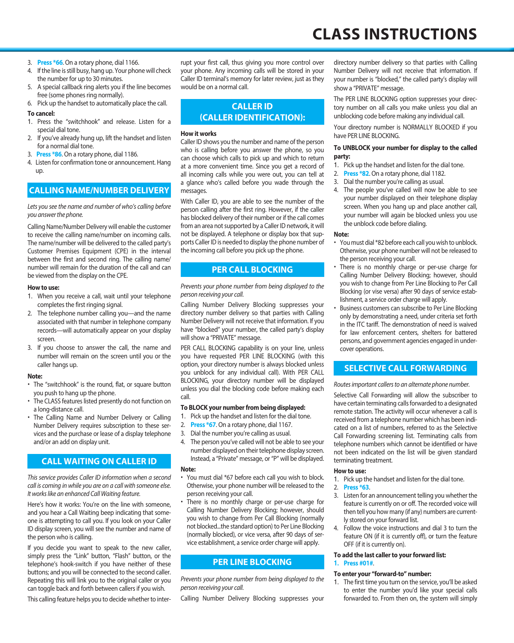### 3. **Press \*66**. On a rotary phone, dial 1166.

- 4. If the line is still busy, hang up. Your phone will check the number for up to 30 minutes.
- 5. A special callback ring alerts you if the line becomes free (some phones ring normally).
- 6. Pick up the handset to automatically place the call.

### **To cancel:**

- 1. Press the "switchhook" and release. Listen for a special dial tone.
- 2. If you've already hung up, lift the handset and listen for a normal dial tone.
- 3. **Press \*86**. On a rotary phone, dial 1186.
- 4. Listen for confirmation tone or announcement. Hang up.

# **CALLING NAME/NUMBER DELIVERY**

*Lets you see the name and number of who's calling before you answer the phone.*

Calling Name/Number Delivery will enable the customer to receive the calling name/number on incoming calls. The name/number will be delivered to the called party's Customer Premises Equipment (CPE) in the interval between the first and second ring. The calling name/ number will remain for the duration of the call and can be viewed from the display on the CPE.

### **How to use:**

- 1. When you receive a call, wait until your telephone completes the first ringing signal.
- 2. The telephone number calling you—and the name associated with that number in telephone company records—will automatically appear on your display screen.
- 3. If you choose to answer the call, the name and number will remain on the screen until you or the caller hangs up.

### **Note:**

- The "switchhook" is the round, flat, or square button you push to hang up the phone.
- The CLASS features listed presently do not function on a long-distance call.
- The Calling Name and Number Delivery or Calling Number Delivery requires subscription to these services and the purchase or lease of a display telephone and/or an add on display unit.

# **CALL WAITING ON CALLER ID**

*This service provides Caller ID information when a second call is coming in while you are on a call with someone else. It works like an enhanced Call Waiting feature.*

Here's how it works: You're on the line with someone, and you hear a Call Waiting beep indicating that someone is attempting to call you. If you look on your Caller ID display screen, you will see the number and name of the person who is calling.

If you decide you want to speak to the new caller, simply press the "Link" button, "Flash" button, or the telephone's hook-switch if you have neither of these buttons; and you will be connected to the second caller. Repeating this will link you to the original caller or you can toggle back and forth between callers if you wish.

This calling feature helps you to decide whether to inter-

rupt your first call, thus giving you more control over your phone. Any incoming calls will be stored in your Caller ID terminal's memory for later review, just as they would be on a normal call.

# **CALLER ID (CALLER IDENTIFICATION):**

### **How it works**

Caller ID shows you the number and name of the person who is calling before you answer the phone, so you can choose which calls to pick up and which to return at a more convenient time. Since you get a record of all incoming calls while you were out, you can tell at a glance who's called before you wade through the messages

With Caller ID, you are able to see the number of the person calling after the first ring. However, if the caller has blocked delivery of their number or if the call comes from an area not supported by a Caller ID network, it will not be displayed. A telephone or display box that supports Caller ID is needed to display the phone number of the incoming call before you pick up the phone.

### **PER CALL BLOCKING**

*Prevents your phone number from being displayed to the person receiving your call.*

Calling Number Delivery Blocking suppresses your directory number delivery so that parties with Calling Number Delivery will not receive that information. If you have "blocked" your number, the called party's display will show a "PRIVATE" message.

PER CALL BLOCKING capability is on your line, unless you have requested PER LINE BLOCKING (with this option, your directory number is always blocked unless you unblock for any individual call). With PER CALL BLOCKING, your directory number will be displayed unless you dial the blocking code before making each call.

### **To BLOCK your number from being displayed:**

- 1. Pick up the handset and listen for the dial tone.
- 2. **Press \*67**. On a rotary phone, dial 1167.
- 3. Dial the number you're calling as usual.
- 4. The person you've called will not be able to see your number displayed on their telephone display screen. Instead, a "Private" message, or "P" will be displayed.

### **Note:**

- You must dial \*67 before each call you wish to block. Otherwise, your phone number will be released to the person receiving your call.
- There is no monthly charge or per-use charge for Calling Number Delivery Blocking; however, should you wish to change from Per Call Blocking (normally not blocked...the standard option) to Per Line Blocking (normally blocked), or vice versa, after 90 days of service establishment, a service order charge will apply.

# **PER LINE BLOCKING**

*Prevents your phone number from being displayed to the person receiving your call.*

Calling Number Delivery Blocking suppresses your

directory number delivery so that parties with Calling Number Delivery will not receive that information. If your number is "blocked," the called party's display will show a "PRIVATE" message.

The PER LINE BLOCKING option suppresses your directory number on all calls you make unless you dial an unblocking code before making any individual call.

Your directory number is NORMALLY BLOCKED if you have PER LINE BLOCKING.

### **To UNBLOCK your number for display to the called party:**

- 1. Pick up the handset and listen for the dial tone.
- 2. **Press \*82**. On a rotary phone, dial 1182.
- 3. Dial the number you're calling as usual.
- 4. The people you've called will now be able to see your number displayed on their telephone display screen. When you hang up and place another call, your number will again be blocked unless you use the unblock code before dialing.

### **Note:**

- You must dial \*82 before each call you wish to unblock. Otherwise, your phone number will not be released to the person receiving your call.
- There is no monthly charge or per-use charge for Calling Number Delivery Blocking; however, should you wish to change from Per Line Blocking to Per Call Blocking (or vise versa) after 90 days of service establishment, a service order charge will apply.
- Business customers can subscribe to Per Line Blocking only by demonstrating a need, under criteria set forth in the ITC tariff. The demonstration of need is waived for law enforcement centers, shelters for battered persons, and government agencies engaged in undercover operations.

# **SELECTIVE CALL FORWARDING**

*Routes important callers to an alternate phone number.*

Selective Call Forwarding will allow the subscriber to have certain terminating calls forwarded to a designated remote station. The activity will occur whenever a call is received from a telephone number which has been indicated on a list of numbers, referred to as the Selective Call Forwarding screening list. Terminating calls from telephone numbers which cannot be identified or have not been indicated on the list will be given standard terminating treatment.

### **How to use:**

1. Pick up the handset and listen for the dial tone.

### 2. **Press \*63**.

- 3. Listen for an announcement telling you whether the feature is currently on or off. The recorded voice will then tell you how many (if any) numbers are currently stored on your forward list.
- 4. Follow the voice instructions and dial 3 to turn the feature ON (if it is currently off), or turn the feature OFF (if it is currently on).

### **To add the last caller to your forward list: 1. Press #01#**.

### **To enter your "forward-to" number:**

1. The first time you turn on the service, you'll be asked to enter the number you'd like your special calls forwarded to. From then on, the system will simply

# **CLASS INSTRUCTIONS**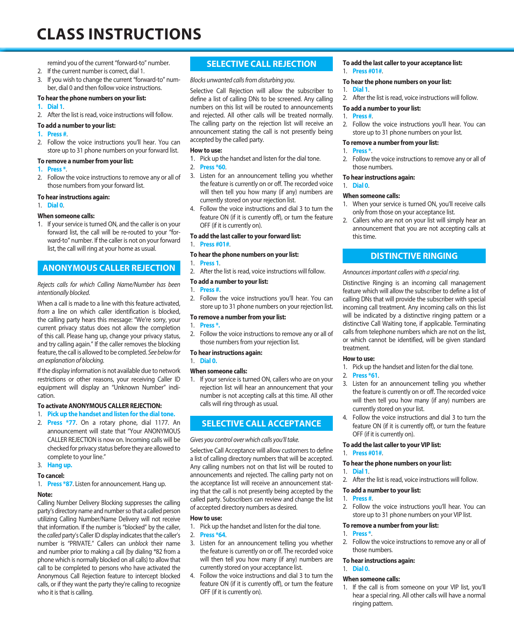# **CLASS INSTRUCTIONS**

remind you of the current "forward-to" number.

- 2. If the current number is correct, dial 1.
- 3. If you wish to change the current "forward-to" number, dial 0 and then follow voice instructions.

### **To hear the phone numbers on your list:**

- **1. Dial 1**.
- 2. After the list is read, voice instructions will follow.

### **To add a number to your list:**

- **1. Press #**.
- 2. Follow the voice instructions you'll hear. You can store up to 31 phone numbers on your forward list.

### **To remove a number from your list:**

- **1. Press \***.
- 2. Follow the voice instructions to remove any or all of those numbers from your forward list.

### **To hear instructions again:**

1. **Dial 0**.

### **When someone calls:**

1. If your service is turned ON, and the caller is on your forward list, the call will be re-routed to your "forward-to" number. If the caller is not on your forward list, the call will ring at your home as usual.

# **ANONYMOUS CALLER REJECTION**

### *Rejects calls for which Calling Name/Number has been intentionally blocked.*

When a call is made to a line with this feature activated, *from* a line on which caller identification is blocked, the calling party hears this message: "We're sorry, your current privacy status does not allow the completion of this call. Please hang up, change your privacy status, and try calling again." If the caller removes the blocking feature, the call is allowed to be completed. *See below for an explanation of blocking.*

If the display information is not available due to network restrictions or other reasons, your receiving Caller ID equipment will display an "Unknown Number" indication.

### **To activate ANONYMOUS CALLER REJECTION:**

- 1. **Pick up the handset and listen for the dial tone.**
- 2. **Press \*77**. On a rotary phone, dial 1177. An announcement will state that "Your ANONYMOUS CALLER REJECTION is now on. Incoming calls will be checked for privacy status before they are allowed to complete to your line."

### 3. **Hang up.**

### **To cancel:**

1. **Press \*87**. Listen for announcement. Hang up.

### **Note:**

Calling Number Delivery Blocking suppresses the calling party's directory name and number so that a called person utilizing Calling Number/Name Delivery will not receive that information. If the number is "blocked" by the caller, the *called* party's Caller ID display indicates that the caller's number is "PRIVATE." Callers can *unblock* their name and number prior to making a call (by dialing \*82 from a phone which is normally blocked on all calls) to allow that call to be completed to persons who have activated the Anonymous Call Rejection feature to intercept blocked calls, or if they want the party they're calling to recognize who it is that is calling.

# **SELECTIVE CALL REJECTION**

### *Blocks unwanted calls from disturbing you.*

Selective Call Rejection will allow the subscriber to define a list of calling DNs to be screened. Any calling numbers on this list will be routed to announcements and rejected. All other calls will be treated normally. The calling party on the rejection list will receive an announcement stating the call is not presently being accepted by the called party.

### **How to use:**

- 1. Pick up the handset and listen for the dial tone.
- 2. **Press \*60**.
- 3. Listen for an announcement telling you whether the feature is currently on or off. The recorded voice will then tell you how many (if any) numbers are currently stored on your rejection list.
- 4. Follow the voice instructions and dial 3 to turn the feature ON (if it is currently off), or turn the feature OFF (if it is currently on).

### **To add the last caller to your forward list:**

1. **Press #01#**.

### **To hear the phone numbers on your list:**

- 1. **Press 1**.
- 2. After the list is read, voice instructions will follow.

### **To add a number to your list:**

### 1. **Press #.**

2. Follow the voice instructions you'll hear. You can store up to 31 phone numbers on your rejection list.

### **To remove a number from your list:**

### 1. **Press \*.**

2. Follow the voice instructions to remove any or all of those numbers from your rejection list.

### **To hear instructions again:**

1. **Dial 0.**

### **When someone calls:**

1. If your service is turned ON, callers who are on your rejection list will hear an announcement that your number is not accepting calls at this time. All other calls will ring through as usual.

# **SELECTIVE CALL ACCEPTANCE**

### *Gives you control over which calls you'll take.*

Selective Call Acceptance will allow customers to define a list of calling directory numbers that will be accepted. Any calling numbers not on that list will be routed to announcements and rejected. The calling party not on the acceptance list will receive an announcement stating that the call is not presently being accepted by the called party. Subscribers can review and change the list of accepted directory numbers as desired.

### **How to use:**

- 1. Pick up the handset and listen for the dial tone.
- 2. **Press \*64**.
- 3. Listen for an announcement telling you whether the feature is currently on or off. The recorded voice will then tell you how many (if any) numbers are currently stored on your acceptance list.
- 4. Follow the voice instructions and dial 3 to turn the feature ON (if it is currently off), or turn the feature OFF (if it is currently on).

# **To add the last caller to your acceptance list:**

1. **Press #01#**.

#### **To hear the phone numbers on your list:** 1. **Dial 1**.

2. After the list is read, voice instructions will follow.

### **To add a number to your list:**

### 1. **Press #**.

2. Follow the voice instructions you'll hear. You can store up to 31 phone numbers on your list.

### **To remove a number from your list:**

- 1. **Press \***.
- Follow the voice instructions to remove any or all of those numbers.

### **To hear instructions again:**

### 1. **Dial 0**.

# **When someone calls:**

- 1. When your service is turned ON, you'll receive calls only from those on your acceptance list.
- 2. Callers who are not on your list will simply hear an announcement that you are not accepting calls at this time.

### **DISTINCTIVE RINGING**

### *Announces important callers with a special ring.*

Distinctive Ringing is an incoming call management feature which will allow the subscriber to define a list of calling DNs that will provide the subscriber with special incoming call treatment. Any incoming calls on this list will be indicated by a distinctive ringing pattern or a distinctive Call Waiting tone, if applicable. Terminating calls from telephone numbers which are not on the list, or which cannot be identified, will be given standard treatment.

### **How to use:**

1. Pick up the handset and listen for the dial tone.

### 2. **Press \*61**.

- 3. Listen for an announcement telling you whether the feature is currently on or off. The recorded voice will then tell you how many (if any) numbers are currently stored on your list.
- 4. Follow the voice instructions and dial 3 to turn the feature ON (if it is currently off), or turn the feature OFF (if it is currently on).

### **To add the last caller to your VIP list:**

### 1. **Press #01#**.

### **To hear the phone numbers on your list:**

### 1. **Dial 1**.

2. After the list is read, voice instructions will follow.

### **To add a number to your list:**

### 1. **Press #**.

2. Follow the voice instructions you'll hear. You can store up to 31 phone numbers on your VIP list.

#### **To remove a number from your list:** 1. **Press \***.

2. Follow the voice instructions to remove any or all of those numbers.

### **To hear instructions again:**

# 1. **Dial 0.**

- **When someone calls:**
- 1. If the call is from someone on your VIP list, you'll hear a special ring. All other calls will have a normal ringing pattern.